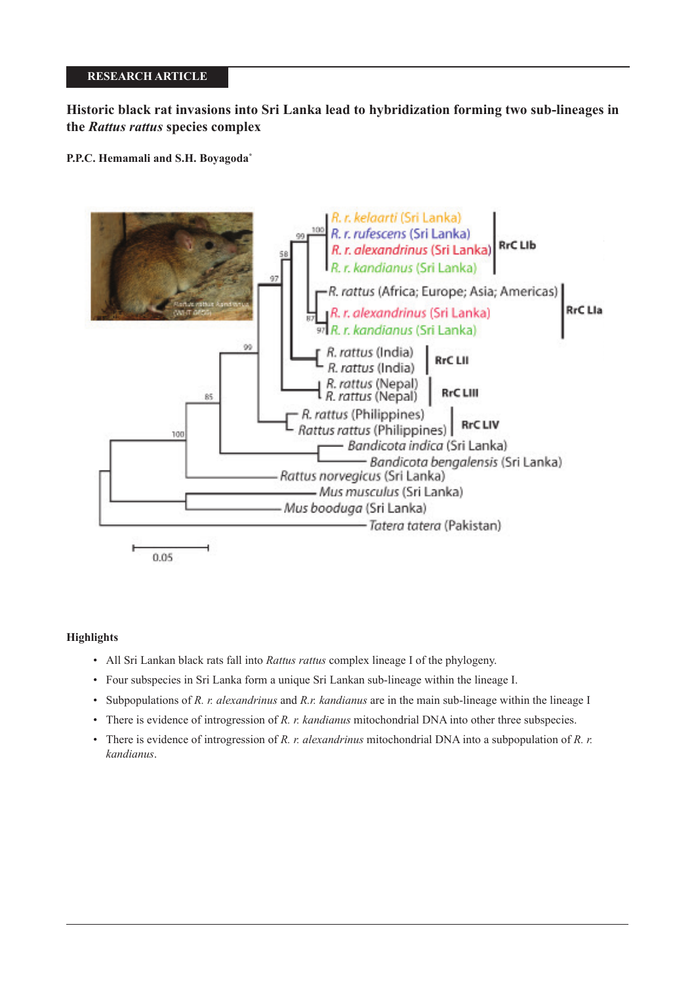## **RESEARCH ARTICLE**

# **Historic black rat invasions into Sri Lanka lead to hybridization forming two sub-lineages in the** *Rattus rattus* **species complex**

**P.P.C. Hemamali and S.H. Boyagoda\***



## **Highlights**

- All Sri Lankan black rats fall into *Rattus rattus* complex lineage I of the phylogeny.
- Four subspecies in Sri Lanka form a unique Sri Lankan sub-lineage within the lineage I.
- Subpopulations of *R. r. alexandrinus* and *R.r. kandianus* are in the main sub-lineage within the lineage I
- There is evidence of introgression of *R. r. kandianus* mitochondrial DNA into other three subspecies.
- There is evidence of introgression of *R. r. alexandrinus* mitochondrial DNA into a subpopulation of *R. r. kandianus*.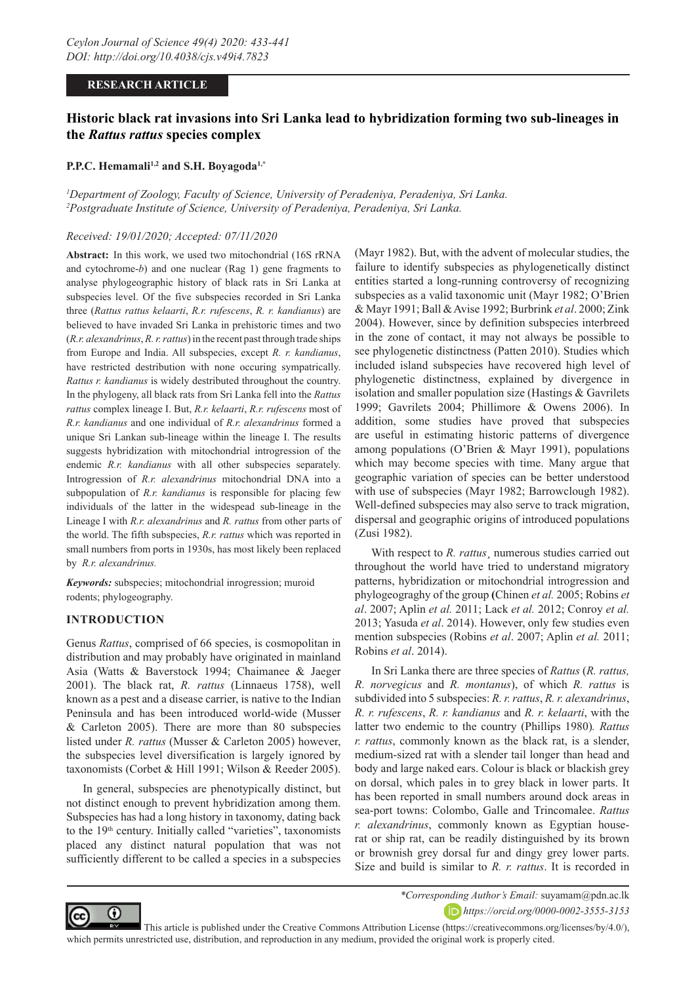## **RESEARCH ARTICLE**

# **Historic black rat invasions into Sri Lanka lead to hybridization forming two sub-lineages in the** *Rattus rattus* **species complex**

#### P.P.C. Hemamali<sup>1,2</sup> and S.H. Boyagoda<sup>1,\*</sup>

*1 Department of Zoology, Faculty of Science, University of Peradeniya, Peradeniya, Sri Lanka. 2 Postgraduate Institute of Science, University of Peradeniya, Peradeniya, Sri Lanka.*

## *Received: 19/01/2020; Accepted: 07/11/2020*

**Abstract:** In this work, we used two mitochondrial (16S rRNA and cytochrome-*b*) and one nuclear (Rag 1) gene fragments to analyse phylogeographic history of black rats in Sri Lanka at subspecies level. Of the five subspecies recorded in Sri Lanka three (*Rattus rattus kelaarti*, *R.r. rufescens*, *R. r. kandianus*) are believed to have invaded Sri Lanka in prehistoric times and two (*R.r. alexandrinus*, *R. r. rattus*) in the recent past through trade ships from Europe and India. All subspecies, except *R. r. kandianus*, have restricted destribution with none occuring sympatrically. *Rattus r. kandianus* is widely destributed throughout the country. In the phylogeny, all black rats from Sri Lanka fell into the *Rattus rattus* complex lineage I. But, *R.r. kelaarti*, *R.r. rufescens* most of *R.r. kandianus* and one individual of *R.r. alexandrinus* formed a unique Sri Lankan sub-lineage within the lineage I. The results suggests hybridization with mitochondrial introgression of the endemic *R.r. kandianus* with all other subspecies separately. Introgression of *R.r. alexandrinus* mitochondrial DNA into a subpopulation of *R.r. kandianus* is responsible for placing few individuals of the latter in the widespead sub-lineage in the Lineage I with *R.r. alexandrinus* and *R. rattus* from other parts of the world. The fifth subspecies, *R.r. rattus* which was reported in small numbers from ports in 1930s, has most likely been replaced by *R.r. alexandrinus.*

*Keywords:* subspecies; mitochondrial inrogression; muroid rodents; phylogeography.

## **INTRODUCTION**

Genus *Rattus*, comprised of 66 species, is cosmopolitan in distribution and may probably have originated in mainland Asia (Watts & Baverstock 1994; Chaimanee & Jaeger 2001). The black rat, *R. rattus* (Linnaeus 1758), well known as a pest and a disease carrier, is native to the Indian Peninsula and has been introduced world-wide (Musser & Carleton 2005). There are more than 80 subspecies listed under *R. rattus* (Musser & Carleton 2005) however, the subspecies level diversification is largely ignored by taxonomists (Corbet & Hill 1991; Wilson & Reeder 2005).

In general, subspecies are phenotypically distinct, but not distinct enough to prevent hybridization among them. Subspecies has had a long history in taxonomy, dating back to the 19<sup>th</sup> century. Initially called "varieties", taxonomists placed any distinct natural population that was not sufficiently different to be called a species in a subspecies

(Mayr 1982). But, with the advent of molecular studies, the failure to identify subspecies as phylogenetically distinct entities started a long-running controversy of recognizing subspecies as a valid taxonomic unit (Mayr 1982; O'Brien & Mayr 1991; Ball & Avise 1992; Burbrink *et al*. 2000; Zink 2004). However, since by definition subspecies interbreed in the zone of contact, it may not always be possible to see phylogenetic distinctness (Patten 2010). Studies which included island subspecies have recovered high level of phylogenetic distinctness, explained by divergence in isolation and smaller population size (Hastings & Gavrilets 1999; Gavrilets 2004; Phillimore & Owens 2006). In addition, some studies have proved that subspecies are useful in estimating historic patterns of divergence among populations (O'Brien & Mayr 1991), populations which may become species with time. Many argue that geographic variation of species can be better understood with use of subspecies (Mayr 1982; Barrowclough 1982). Well-defined subspecies may also serve to track migration, dispersal and geographic origins of introduced populations (Zusi 1982).

With respect to *R. rattus*, numerous studies carried out throughout the world have tried to understand migratory patterns, hybridization or mitochondrial introgression and phylogeograghy of the group **(**Chinen *et al.* 2005; Robins *et al*. 2007; Aplin *et al.* 2011; Lack *et al.* 2012; Conroy *et al.*  2013; Yasuda *et al*. 2014). However, only few studies even mention subspecies (Robins *et al*. 2007; Aplin *et al.* 2011; Robins *et al*. 2014).

In Sri Lanka there are three species of *Rattus* (*R. rattus, R. norvegicus* and *R. montanus*), of which *R. rattus* is subdivided into 5 subspecies: *R. r. rattus*, *R. r. alexandrinus*, *R. r. rufescens*, *R. r. kandianus* and *R. r. kelaarti*, with the latter two endemic to the country (Phillips 1980)*. Rattus r. rattus*, commonly known as the black rat, is a slender, medium-sized rat with a slender tail longer than head and body and large naked ears. Colour is black or blackish grey on dorsal, which pales in to grey black in lower parts. It has been reported in small numbers around dock areas in sea-port towns: Colombo, Galle and Trincomalee. *Rattus r. alexandrinus*, commonly known as Egyptian houserat or ship rat, can be readily distinguished by its brown or brownish grey dorsal fur and dingy grey lower parts. Size and build is similar to *R. r. rattus*. It is recorded in



*\*Corresponding Author's Email:* suyamam@pdn.ac.lk *https://orcid.org/0000-0002-3555-3153*

 This article is published under the Creative Commons Attribution License (https://creativecommons.org/licenses/by/4.0/), which permits unrestricted use, distribution, and reproduction in any medium, provided the original work is properly cited.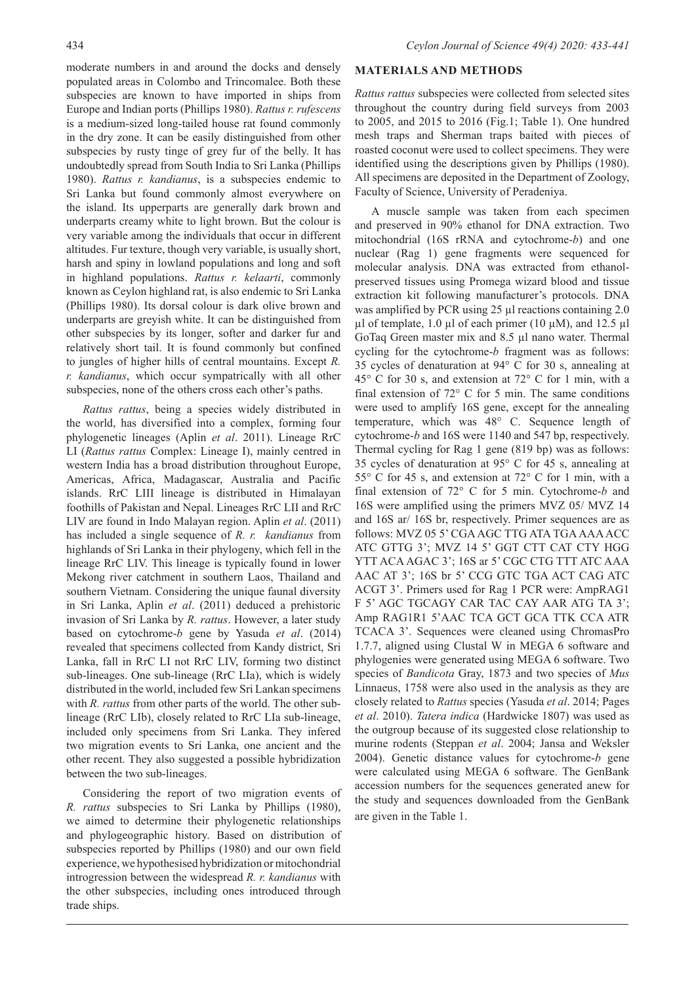moderate numbers in and around the docks and densely populated areas in Colombo and Trincomalee. Both these subspecies are known to have imported in ships from Europe and Indian ports (Phillips 1980). *Rattus r. rufescens*  is a medium-sized long-tailed house rat found commonly in the dry zone. It can be easily distinguished from other subspecies by rusty tinge of grey fur of the belly. It has undoubtedly spread from South India to Sri Lanka (Phillips 1980). *Rattus r. kandianus*, is a subspecies endemic to Sri Lanka but found commonly almost everywhere on the island. Its upperparts are generally dark brown and underparts creamy white to light brown. But the colour is very variable among the individuals that occur in different altitudes. Fur texture, though very variable, is usually short, harsh and spiny in lowland populations and long and soft in highland populations. *Rattus r. kelaarti*, commonly known as Ceylon highland rat, is also endemic to Sri Lanka (Phillips 1980). Its dorsal colour is dark olive brown and underparts are greyish white. It can be distinguished from other subspecies by its longer, softer and darker fur and relatively short tail. It is found commonly but confined to jungles of higher hills of central mountains. Except *R. r. kandianus*, which occur sympatrically with all other subspecies, none of the others cross each other's paths.

*Rattus rattus*, being a species widely distributed in the world, has diversified into a complex, forming four phylogenetic lineages (Aplin *et al*. 2011). Lineage RrC LI (*Rattus rattus* Complex: Lineage I), mainly centred in western India has a broad distribution throughout Europe, Americas, Africa, Madagascar, Australia and Pacific islands. RrC LIII lineage is distributed in Himalayan foothills of Pakistan and Nepal. Lineages RrC LII and RrC LIV are found in Indo Malayan region. Aplin *et al*. (2011) has included a single sequence of *R. r. kandianus* from highlands of Sri Lanka in their phylogeny, which fell in the lineage RrC LIV. This lineage is typically found in lower Mekong river catchment in southern Laos, Thailand and southern Vietnam. Considering the unique faunal diversity in Sri Lanka, Aplin *et al*. (2011) deduced a prehistoric invasion of Sri Lanka by *R. rattus*. However, a later study based on cytochrome-*b* gene by Yasuda *et al*. (2014) revealed that specimens collected from Kandy district, Sri Lanka, fall in RrC LI not RrC LIV, forming two distinct sub-lineages. One sub-lineage (RrC LIa), which is widely distributed in the world, included few Sri Lankan specimens with *R. rattus* from other parts of the world. The other sublineage (RrC LIb), closely related to RrC LIa sub-lineage, included only specimens from Sri Lanka. They infered two migration events to Sri Lanka, one ancient and the other recent. They also suggested a possible hybridization between the two sub-lineages.

Considering the report of two migration events of *R. rattus* subspecies to Sri Lanka by Phillips (1980), we aimed to determine their phylogenetic relationships and phylogeographic history. Based on distribution of subspecies reported by Phillips (1980) and our own field experience, we hypothesised hybridization or mitochondrial introgression between the widespread *R. r. kandianus* with the other subspecies, including ones introduced through trade ships.

## **MATERIALS AND METHODS**

*Rattus rattus* subspecies were collected from selected sites throughout the country during field surveys from 2003 to 2005, and 2015 to 2016 (Fig.1; Table 1). One hundred mesh traps and Sherman traps baited with pieces of roasted coconut were used to collect specimens. They were identified using the descriptions given by Phillips (1980). All specimens are deposited in the Department of Zoology, Faculty of Science, University of Peradeniya.

A muscle sample was taken from each specimen and preserved in 90% ethanol for DNA extraction. Two mitochondrial (16S rRNA and cytochrome-*b*) and one nuclear (Rag 1) gene fragments were sequenced for molecular analysis. DNA was extracted from ethanolpreserved tissues using Promega wizard blood and tissue extraction kit following manufacturer's protocols. DNA was amplified by PCR using 25 µl reactions containing 2.0  $\mu$ l of template, 1.0  $\mu$ l of each primer (10  $\mu$ M), and 12.5  $\mu$ l GoTaq Green master mix and 8.5 µl nano water. Thermal cycling for the cytochrome-*b* fragment was as follows: 35 cycles of denaturation at 94° C for 30 s, annealing at 45° C for 30 s, and extension at 72° C for 1 min, with a final extension of 72° C for 5 min. The same conditions were used to amplify 16S gene, except for the annealing temperature, which was 48° C. Sequence length of cytochrome-*b* and 16S were 1140 and 547 bp, respectively. Thermal cycling for Rag 1 gene (819 bp) was as follows: 35 cycles of denaturation at 95° C for 45 s, annealing at 55° C for 45 s, and extension at 72° C for 1 min, with a final extension of 72° C for 5 min. Cytochrome-*b* and 16S were amplified using the primers MVZ 05/ MVZ 14 and 16S ar/ 16S br, respectively. Primer sequences are as follows: MVZ 05 5' CGA AGC TTG ATA TGA AAA ACC ATC GTTG 3'; MVZ 14 5' GGT CTT CAT CTY HGG YTT ACA AGAC 3'; 16S ar 5' CGC CTG TTT ATC AAA AAC AT 3'; 16S br 5' CCG GTC TGA ACT CAG ATC ACGT 3'. Primers used for Rag 1 PCR were: AmpRAG1 F 5' AGC TGCAGY CAR TAC CAY AAR ATG TA 3'; Amp RAG1R1 5'AAC TCA GCT GCA TTK CCA ATR TCACA 3'. Sequences were cleaned using ChromasPro 1.7.7, aligned using Clustal W in MEGA 6 software and phylogenies were generated using MEGA 6 software. Two species of *Bandicota* Gray, 1873 and two species of *Mus* Linnaeus, 1758 were also used in the analysis as they are closely related to *Rattus* species (Yasuda *et al*. 2014; Pages *et al*. 2010). *Tatera indica* (Hardwicke 1807) was used as the outgroup because of its suggested close relationship to murine rodents (Steppan *et al*. 2004; Jansa and Weksler 2004). Genetic distance values for cytochrome-*b* gene were calculated using MEGA 6 software. The GenBank accession numbers for the sequences generated anew for the study and sequences downloaded from the GenBank are given in the Table 1.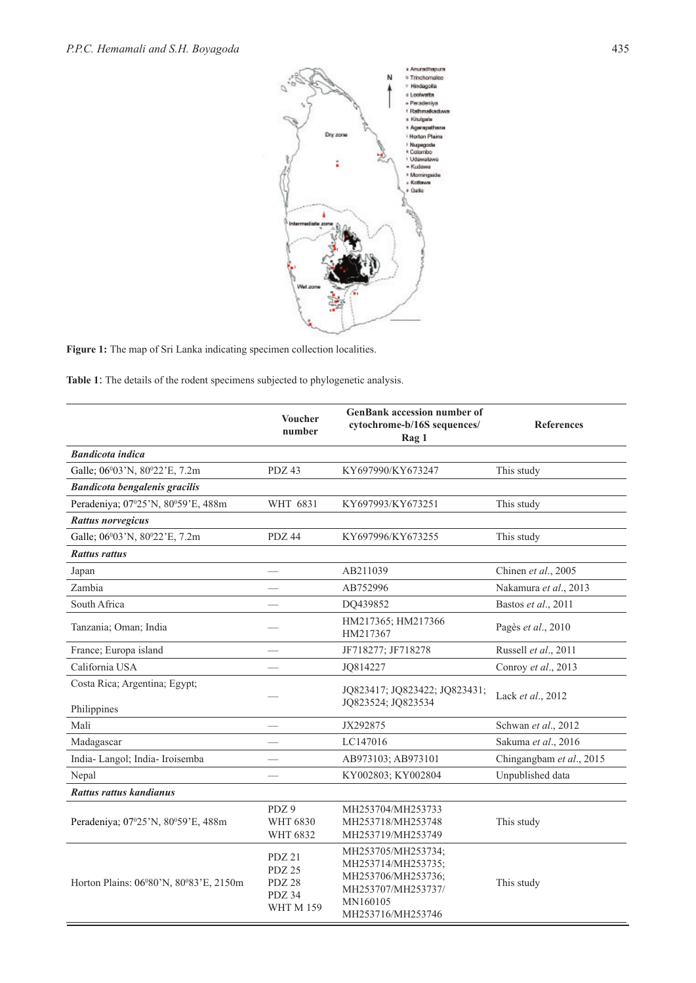

Figure 1: The map of Sri Lanka indicating specimen collection localities.

**Table 1**: The details of the rodent specimens subjected to phylogenetic analysis.

|                                              | <b>Voucher</b><br>number                                 | <b>GenBank accession number of</b><br>cytochrome-b/16S sequences/<br>Rag 1                                            | <b>References</b>        |  |  |  |  |
|----------------------------------------------|----------------------------------------------------------|-----------------------------------------------------------------------------------------------------------------------|--------------------------|--|--|--|--|
| <b>Bandicota indica</b>                      |                                                          |                                                                                                                       |                          |  |  |  |  |
| Galle; 06°03'N, 80°22'E, 7.2m                | PDZ 43                                                   | KY697990/KY673247                                                                                                     | This study               |  |  |  |  |
| Bandicota bengalenis gracilis                |                                                          |                                                                                                                       |                          |  |  |  |  |
| Peradeniya; 07°25'N, 80°59'E, 488m           | WHT 6831                                                 | KY697993/KY673251                                                                                                     | This study               |  |  |  |  |
| <b>Rattus norvegicus</b>                     |                                                          |                                                                                                                       |                          |  |  |  |  |
| Galle; 06°03'N, 80°22'E, 7.2m                | PDZ 44                                                   | KY697996/KY673255                                                                                                     | This study               |  |  |  |  |
| <b>Rattus rattus</b>                         |                                                          |                                                                                                                       |                          |  |  |  |  |
| Japan                                        |                                                          | AB211039                                                                                                              | Chinen et al., 2005      |  |  |  |  |
| Zambia                                       |                                                          | AB752996                                                                                                              | Nakamura et al., 2013    |  |  |  |  |
| South Africa                                 |                                                          | DQ439852                                                                                                              | Bastos et al., 2011      |  |  |  |  |
| Tanzania; Oman; India                        |                                                          | HM217365; HM217366<br>HM217367                                                                                        | Pagès et al., 2010       |  |  |  |  |
| France; Europa island                        |                                                          | JF718277; JF718278                                                                                                    | Russell et al., 2011     |  |  |  |  |
| California USA                               |                                                          | JQ814227                                                                                                              | Conroy et al., 2013      |  |  |  |  |
| Costa Rica; Argentina; Egypt;<br>Philippines |                                                          | JQ823417; JQ823422; JQ823431;<br>JQ823524; JQ823534                                                                   | Lack et al., 2012        |  |  |  |  |
| Mali                                         |                                                          | JX292875                                                                                                              | Schwan et al., 2012      |  |  |  |  |
| Madagascar                                   |                                                          | LC147016                                                                                                              | Sakuma et al., 2016      |  |  |  |  |
| India-Langol; India-Iroisemba                |                                                          | AB973103; AB973101                                                                                                    | Chingangbam et al., 2015 |  |  |  |  |
| Nepal                                        |                                                          | KY002803; KY002804                                                                                                    | Unpublished data         |  |  |  |  |
| Rattus rattus kandianus                      |                                                          |                                                                                                                       |                          |  |  |  |  |
| Peradeniya; 07°25'N, 80°59'E, 488m           | PDZ 9<br>WHT 6830<br>WHT 6832                            | MH253704/MH253733<br>MH253718/MH253748<br>MH253719/MH253749                                                           | This study               |  |  |  |  |
| Horton Plains: 06°80'N, 80°83'E, 2150m       | PDZ 21<br>PDZ 25<br>PDZ 28<br>PDZ 34<br><b>WHT M 159</b> | MH253705/MH253734;<br>MH253714/MH253735;<br>MH253706/MH253736;<br>MH253707/MH253737/<br>MN160105<br>MH253716/MH253746 | This study               |  |  |  |  |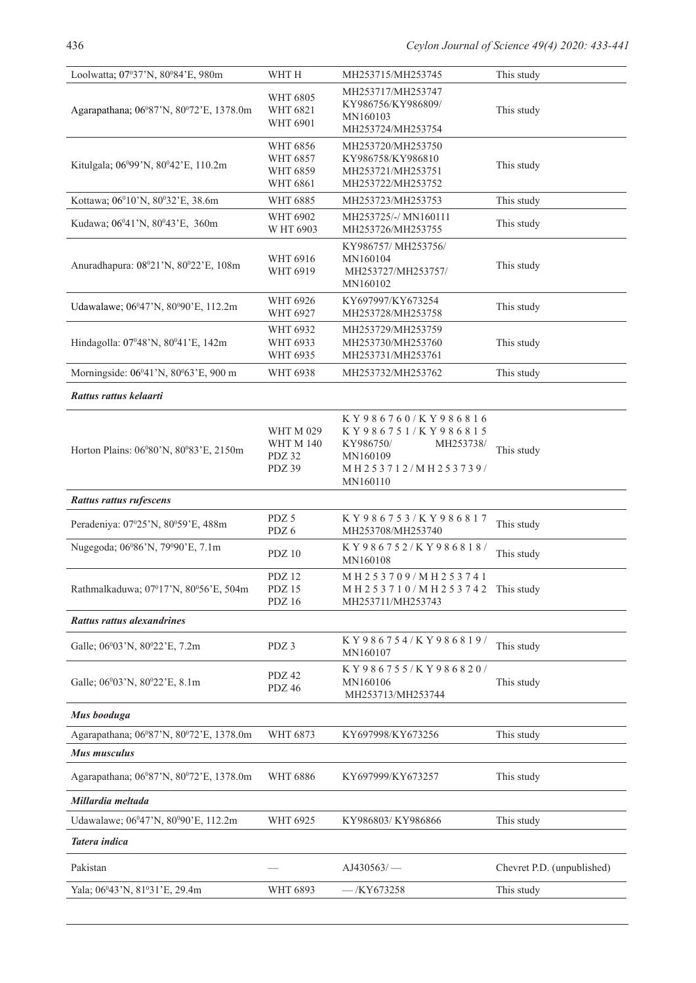| Loolwatta; 07°37'N, 80°84'E, 980m                          | WHT H                                                    | MH253715/MH253745                                                                                              | This study                               |  |  |  |  |  |
|------------------------------------------------------------|----------------------------------------------------------|----------------------------------------------------------------------------------------------------------------|------------------------------------------|--|--|--|--|--|
| Agarapathana; 06°87'N, 80°72'E, 1378.0m                    | <b>WHT 6805</b><br><b>WHT 6821</b><br>WHT 6901           | MH253717/MH253747<br>KY986756/KY986809/<br>MN160103<br>MH253724/MH253754                                       | This study                               |  |  |  |  |  |
| Kitulgala; 06°99'N, 80°42'E, 110.2m                        | WHT 6856<br>WHT 6857<br>WHT 6859<br><b>WHT 6861</b>      | MH253720/MH253750<br>KY986758/KY986810<br>MH253721/MH253751<br>MH253722/MH253752                               | This study                               |  |  |  |  |  |
| Kottawa; 06 <sup>0</sup> 10'N, 80 <sup>0</sup> 32'E, 38.6m | WHT 6885                                                 | MH253723/MH253753                                                                                              | This study                               |  |  |  |  |  |
| Kudawa; 06°41'N, 80°43'E, 360m                             | WHT 6902<br>W HT 6903                                    | MH253725/-/ MN160111<br>MH253726/MH253755                                                                      | This study                               |  |  |  |  |  |
| Anuradhapura: 08°21'N, 80°22'E, 108m                       | WHT 6916<br>WHT 6919                                     | KY986757/MH253756/<br>MN160104<br>MH253727/MH253757/<br>MN160102                                               | This study                               |  |  |  |  |  |
| Udawalawe; 06°47'N, 80°90'E, 112.2m                        | WHT 6926<br>WHT 6927                                     | KY697997/KY673254<br>MH253728/MH253758                                                                         | This study                               |  |  |  |  |  |
| Hindagolla: 07°48'N, 80°41'E, 142m                         | WHT 6932<br>WHT 6933<br>WHT 6935                         | MH253729/MH253759<br>MH253730/MH253760<br>MH253731/MH253761                                                    | This study                               |  |  |  |  |  |
| Morningside: 06°41'N, 80°63'E, 900 m                       | WHT 6938                                                 | MH253732/MH253762                                                                                              | This study                               |  |  |  |  |  |
| Rattus rattus kelaarti                                     |                                                          |                                                                                                                |                                          |  |  |  |  |  |
| Horton Plains: 06°80'N, 80°83'E, 2150m                     | <b>WHT M 029</b><br><b>WHT M 140</b><br>PDZ 32<br>PDZ 39 | KY986760/KY986816<br>KY986751/KY986815<br>KY986750/<br>MH253738/<br>MN160109<br>MH253712/MH253739/<br>MN160110 | This study                               |  |  |  |  |  |
| Rattus rattus rufescens                                    |                                                          |                                                                                                                |                                          |  |  |  |  |  |
| Peradeniya: 07°25'N, 80°59'E, 488m                         | PDZ 5<br>PDZ 6                                           | KY986753/KY986817<br>MH253708/MH253740                                                                         | This study                               |  |  |  |  |  |
|                                                            |                                                          |                                                                                                                |                                          |  |  |  |  |  |
| Nugegoda; 06°86'N, 79°90'E, 7.1m                           | PDZ 10                                                   | KY986752/KY986818/<br>MN160108                                                                                 | This study                               |  |  |  |  |  |
| Rathmalkaduwa; 07°17'N, 80°56'E, 504m                      | <b>PDZ 12</b><br>PDZ 15<br>PDZ 16                        | MH253709/MH253741<br>MH 2 5 3 7 1 0 / MH 2 5 3 7 4 2 This study<br>MH253711/MH253743                           |                                          |  |  |  |  |  |
| Rattus rattus alexandrines                                 |                                                          |                                                                                                                |                                          |  |  |  |  |  |
| Galle; 06°03'N, 80°22'E, 7.2m                              | PDZ 3                                                    | KY986754/KY986819/<br>MN160107                                                                                 | This study                               |  |  |  |  |  |
| Galle; 06°03'N, 80°22'E, 8.1m                              | PDZ 42<br>PDZ 46                                         | KY986755/KY986820/<br>MN160106<br>MH253713/MH253744                                                            | This study                               |  |  |  |  |  |
| Mus booduga                                                |                                                          |                                                                                                                |                                          |  |  |  |  |  |
| Agarapathana; 06°87'N, 80°72'E, 1378.0m                    | WHT 6873                                                 | KY697998/KY673256                                                                                              | This study                               |  |  |  |  |  |
| Mus musculus                                               |                                                          |                                                                                                                |                                          |  |  |  |  |  |
| Agarapathana; 06°87'N, 80°72'E, 1378.0m                    | <b>WHT 6886</b>                                          | KY697999/KY673257                                                                                              | This study                               |  |  |  |  |  |
| Millardia meltada                                          |                                                          |                                                                                                                |                                          |  |  |  |  |  |
| Udawalawe; 06°47'N, 80°90'E, 112.2m                        | WHT 6925                                                 | KY986803/KY986866                                                                                              | This study                               |  |  |  |  |  |
| Tatera indica                                              |                                                          |                                                                                                                |                                          |  |  |  |  |  |
| Pakistan                                                   |                                                          | $A$ J430563/ $-$                                                                                               | Chevret P.D. (unpublished)<br>This study |  |  |  |  |  |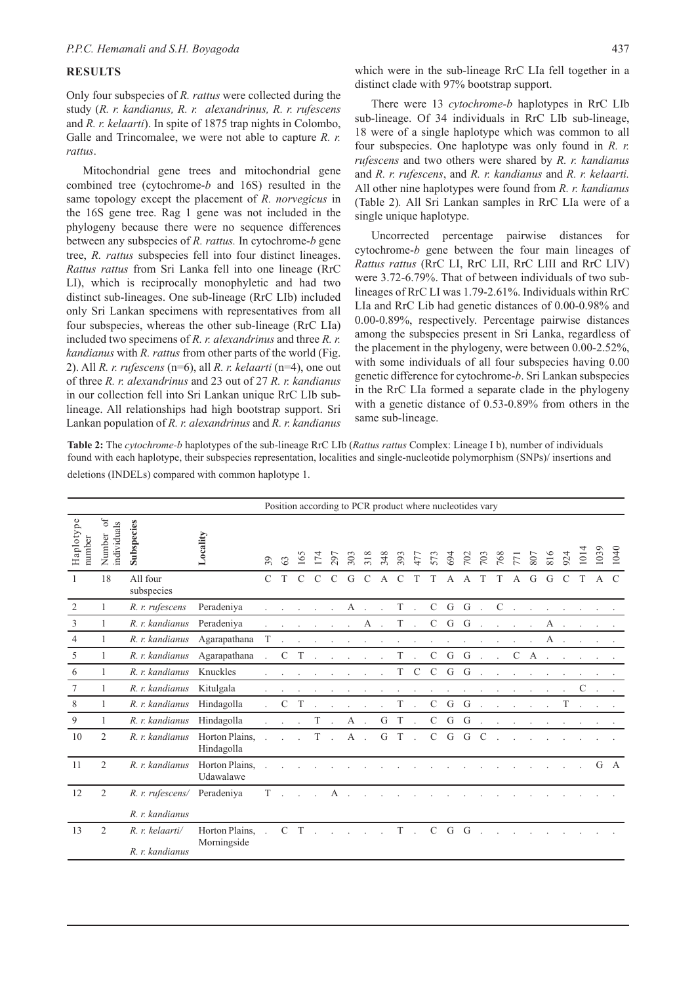#### **RESULTS**

Only four subspecies of *R. rattus* were collected during the study (*R. r. kandianus, R. r. alexandrinus, R. r. rufescens* and *R. r. kelaarti*). In spite of 1875 trap nights in Colombo, Galle and Trincomalee, we were not able to capture *R. r. rattus*.

Mitochondrial gene trees and mitochondrial gene combined tree (cytochrome-*b* and 16S) resulted in the same topology except the placement of *R. norvegicus* in the 16S gene tree. Rag 1 gene was not included in the phylogeny because there were no sequence differences between any subspecies of *R. rattus.* In cytochrome-*b* gene tree, *R. rattus* subspecies fell into four distinct lineages. *Rattus rattus* from Sri Lanka fell into one lineage (RrC LI), which is reciprocally monophyletic and had two distinct sub-lineages. One sub-lineage (RrC LIb) included only Sri Lankan specimens with representatives from all four subspecies, whereas the other sub-lineage (RrC LIa) included two specimens of *R. r. alexandrinus* and three *R. r. kandianus* with *R. rattus* from other parts of the world (Fig. 2). All *R. r. rufescens* (n=6), all *R. r. kelaarti* (n=4), one out of three *R. r. alexandrinus* and 23 out of 27 *R. r. kandianus* in our collection fell into Sri Lankan unique RrC LIb sublineage. All relationships had high bootstrap support. Sri Lankan population of *R. r. alexandrinus* and *R. r. kandianus*

which were in the sub-lineage RrC LIa fell together in a distinct clade with 97% bootstrap support.

There were 13 *cytochrome-b* haplotypes in RrC LIb sub-lineage. Of 34 individuals in RrC LIb sub-lineage, 18 were of a single haplotype which was common to all four subspecies. One haplotype was only found in *R. r. rufescens* and two others were shared by *R. r. kandianus* and *R. r. rufescens*, and *R. r. kandianus* and *R. r. kelaarti.*  All other nine haplotypes were found from *R. r. kandianus*  (Table 2)*.* All Sri Lankan samples in RrC LIa were of a single unique haplotype.

Uncorrected percentage pairwise distances for cytochrome-*b* gene between the four main lineages of *Rattus rattus* (RrC LI, RrC LII, RrC LIII and RrC LIV) were 3.72-6.79%. That of between individuals of two sublineages of RrC LI was 1.79-2.61%. Individuals within RrC LIa and RrC Lib had genetic distances of 0.00-0.98% and 0.00-0.89%, respectively. Percentage pairwise distances among the subspecies present in Sri Lanka, regardless of the placement in the phylogeny, were between 0.00-2.52%, with some individuals of all four subspecies having 0.00 genetic difference for cytochrome-*b*. Sri Lankan subspecies in the RrC LIa formed a separate clade in the phylogeny with a genetic distance of 0.53-0.89% from others in the same sub-lineage.

**Table 2:** The *cytochrome-b* haplotypes of the sub-lineage RrC LIb (*Rattus rattus* Complex: Lineage I b), number of individuals found with each haplotype, their subspecies representation, localities and single-nucleotide polymorphism (SNPs)/ insertions and deletions (INDELs) compared with common haplotype 1.

|                     |                                      |                             | Position according to PCR product where nucleotides vary |                      |               |               |               |                      |                     |                |                |               |                      |              |              |              |                      |             |                      |                      |                      |                      |               |                          |               |
|---------------------|--------------------------------------|-----------------------------|----------------------------------------------------------|----------------------|---------------|---------------|---------------|----------------------|---------------------|----------------|----------------|---------------|----------------------|--------------|--------------|--------------|----------------------|-------------|----------------------|----------------------|----------------------|----------------------|---------------|--------------------------|---------------|
| Haplotype<br>number | $\rm ^{of}$<br>individuals<br>Number | Subspecies                  | Locality                                                 | $\overline{39}$      | $\mathcal{S}$ | 165           | 174           | 297                  | 303                 | 318            | 348            | 393           | 477                  | 573          | 694          |              | $702$<br>$703$       | 768         | 771                  | 807                  | 816                  | 924                  | 101           | 039                      | 040           |
| -1                  | 18                                   | All four<br>subspecies      |                                                          | $\mathcal{C}$        | T             | $\mathcal{C}$ | $\mathcal{C}$ | $\mathcal{C}$        | G                   | $\mathcal{C}$  | $\overline{A}$ | $\mathcal{C}$ | T                    | T            | $\mathsf{A}$ | $\mathsf{A}$ | T                    | T           | A                    | G                    | G                    | $\mathcal{C}$        | T             | $\mathsf{A}$             | $\mathcal{C}$ |
| $\overline{2}$      | 1                                    | R. r. rufescens             | Peradeniya                                               |                      |               |               |               |                      | A                   |                |                | $\mathbf T$   | $\sim$               | $\mathbf{C}$ | G            | G            | $\sim$               | $\mathbf C$ | $\ddot{\phantom{a}}$ | $\ddot{\phantom{a}}$ |                      |                      |               |                          |               |
| $\overline{3}$      | 1                                    | R. r. kandianus             | Peradeniya                                               |                      |               |               |               |                      |                     | A              |                | $\mathbf T$ . |                      | $\mathbf{C}$ | G            | G            | $\Delta$             |             |                      |                      | A                    |                      |               |                          |               |
| $\overline{4}$      | $\mathbf{1}$                         | R. r. kandianus             | Agarapathana                                             | T                    |               |               |               |                      |                     |                |                |               |                      |              |              |              |                      |             |                      |                      | A                    |                      |               |                          |               |
| 5                   | $\mathbf{1}$                         | R. r. kandianus             | Agarapathana                                             |                      | $\mathcal{C}$ | T             |               |                      |                     | $\blacksquare$ | $\cdot$        | $\mathbf T$   | $\ddot{\phantom{a}}$ | $\mathsf{C}$ | G            | G            | $\ddot{\phantom{a}}$ |             | $\mathcal{C}$        | $\mathbf{A}$         | $\ddot{\phantom{a}}$ |                      |               |                          |               |
| 6                   | 1                                    | R. r. kandianus             | Knuckles                                                 |                      |               |               |               |                      |                     |                |                | T -           | $\mathcal{C}$        |              | $C$ G        | G            | $\sim$               |             |                      |                      |                      |                      |               |                          |               |
| 7                   | 1                                    | R. r. kandianus             | Kitulgala                                                |                      |               |               |               |                      |                     | $\cdot$        |                | $\epsilon$    | $\cdot$              | $\cdot$      | $\sim$       | $\sim$       | $\bullet$            |             |                      |                      |                      | $\ddot{\phantom{a}}$ | $\mathcal{C}$ | $\overline{\phantom{a}}$ |               |
| 8                   | 1                                    | R. r. kandianus             | Hindagolla                                               |                      | $\mathcal{C}$ | T             |               |                      |                     |                |                | $\mathbf T$   | $\ddot{\phantom{a}}$ | $\mathsf{C}$ | $\mathsf G$  | G            |                      |             |                      |                      |                      | T                    |               |                          |               |
| 9                   |                                      | R. r. kandianus             | Hindagolla                                               |                      |               | $\sim$        | T             | $\ddot{\phantom{a}}$ | A .                 |                |                | G T.          |                      | $\mathbf{C}$ | G            | G            | $\sim$               | $\cdot$     | $\bullet$            | $\cdot$              |                      |                      |               |                          |               |
| 10                  | $\overline{2}$                       | R. r. kandianus             | Horton Plains,<br>Hindagolla                             |                      |               |               | T             | $\sim$               | A .                 |                |                | GT.           |                      |              |              | $C$ $G$ $G$  | $\mathcal{C}$        |             |                      |                      |                      |                      |               |                          |               |
| -11                 | $\overline{c}$                       | R. r. kandianus             | Horton Plains,<br>Udawalawe                              |                      |               |               |               |                      |                     |                |                |               |                      |              |              |              |                      |             |                      |                      |                      |                      |               | G                        | $\mathbf{A}$  |
| 12                  | 2                                    | R. r. rufescens/ Peradeniya |                                                          | T                    |               |               |               | А                    |                     |                |                |               |                      |              |              |              |                      |             |                      |                      |                      |                      |               |                          |               |
|                     |                                      | R. r. kandianus             |                                                          |                      |               |               |               |                      |                     |                |                |               |                      |              |              |              |                      |             |                      |                      |                      |                      |               |                          |               |
| 13                  | 2                                    | R. r. kelaarti/             | Horton Plains,<br>Morningside                            | $\ddot{\phantom{a}}$ |               | $C$ T         |               |                      | and a strategic and |                |                |               | $T$ .                |              | $C$ $G$ $G$  |              |                      |             |                      |                      |                      |                      |               |                          |               |
|                     |                                      | $R$ . $r$ . kandianus       |                                                          |                      |               |               |               |                      |                     |                |                |               |                      |              |              |              |                      |             |                      |                      |                      |                      |               |                          |               |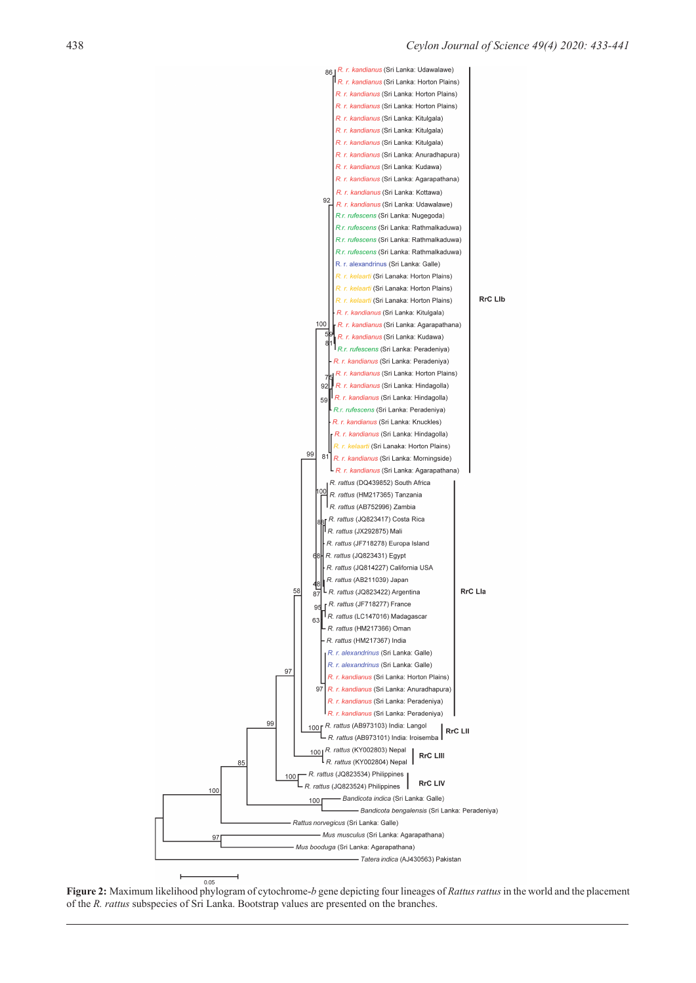

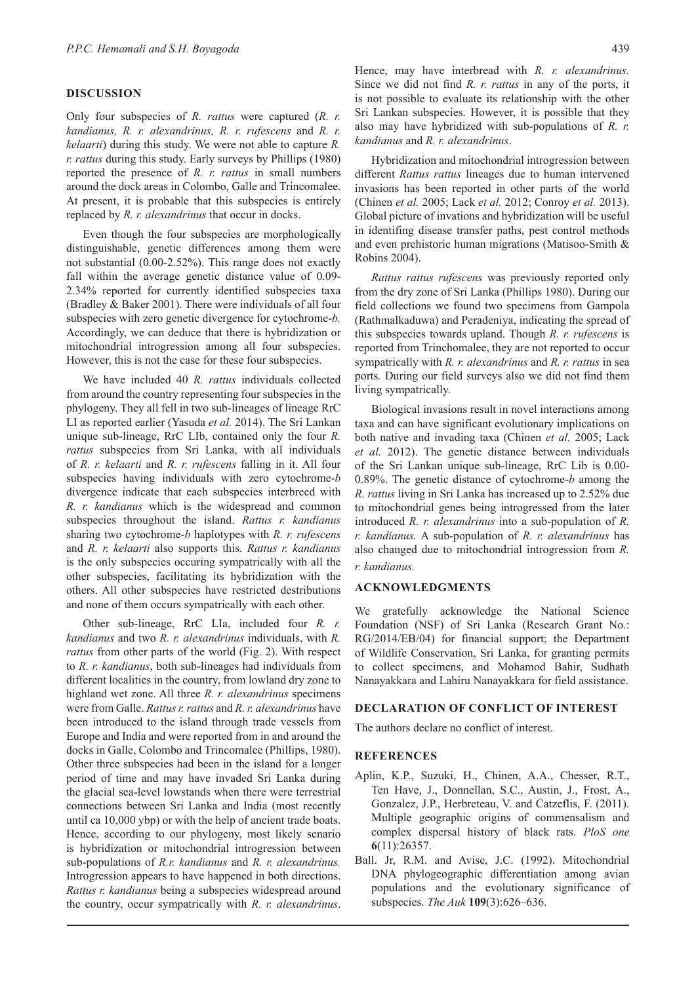#### **DISCUSSION**

Only four subspecies of *R. rattus* were captured (*R. r. kandianus, R. r. alexandrinus, R. r. rufescens* and *R. r. kelaarti*) during this study. We were not able to capture *R. r. rattus* during this study. Early surveys by Phillips (1980) reported the presence of *R. r. rattus* in small numbers around the dock areas in Colombo, Galle and Trincomalee. At present, it is probable that this subspecies is entirely replaced by *R. r. alexandrinus* that occur in docks.

Even though the four subspecies are morphologically distinguishable, genetic differences among them were not substantial (0.00-2.52%). This range does not exactly fall within the average genetic distance value of 0.09- 2.34% reported for currently identified subspecies taxa (Bradley & Baker 2001). There were individuals of all four subspecies with zero genetic divergence for cytochrome-*b.*  Accordingly, we can deduce that there is hybridization or mitochondrial introgression among all four subspecies. However, this is not the case for these four subspecies.

We have included 40 *R. rattus* individuals collected from around the country representing four subspecies in the phylogeny. They all fell in two sub-lineages of lineage RrC LI as reported earlier (Yasuda *et al.* 2014). The Sri Lankan unique sub-lineage, RrC LIb, contained only the four *R. rattus* subspecies from Sri Lanka, with all individuals of *R. r. kelaarti* and *R. r. rufescens* falling in it. All four subspecies having individuals with zero cytochrome-*b*  divergence indicate that each subspecies interbreed with *R. r. kandianus* which is the widespread and common subspecies throughout the island. *Rattus r. kandianus* sharing two cytochrome-*b* haplotypes with *R. r. rufescens* and *R. r. kelaarti* also supports this. *Rattus r. kandianus*  is the only subspecies occuring sympatrically with all the other subspecies, facilitating its hybridization with the others. All other subspecies have restricted destributions and none of them occurs sympatrically with each other.

Other sub-lineage, RrC LIa, included four *R. r. kandianus* and two *R. r. alexandrinus* individuals, with *R. rattus* from other parts of the world (Fig. 2). With respect to *R. r. kandianus*, both sub-lineages had individuals from different localities in the country, from lowland dry zone to highland wet zone. All three *R. r. alexandrinus* specimens were from Galle. *Rattus r. rattus* and *R. r. alexandrinus* have been introduced to the island through trade vessels from Europe and India and were reported from in and around the docks in Galle, Colombo and Trincomalee (Phillips, 1980). Other three subspecies had been in the island for a longer period of time and may have invaded Sri Lanka during the glacial sea-level lowstands when there were terrestrial connections between Sri Lanka and India (most recently until ca 10,000 ybp) or with the help of ancient trade boats. Hence, according to our phylogeny, most likely senario is hybridization or mitochondrial introgression between sub-populations of *R.r. kandianus* and *R. r. alexandrinus.* Introgression appears to have happened in both directions. *Rattus r. kandianus* being a subspecies widespread around the country, occur sympatrically with *R. r. alexandrinus*.

Hence, may have interbread with *R. r. alexandrinus.* Since we did not find *R. r. rattus* in any of the ports, it is not possible to evaluate its relationship with the other Sri Lankan subspecies. However, it is possible that they also may have hybridized with sub-populations of *R. r. kandianus* and *R. r. alexandrinus*.

Hybridization and mitochondrial introgression between different *Rattus rattus* lineages due to human intervened invasions has been reported in other parts of the world (Chinen *et al.* 2005; Lack *et al.* 2012; Conroy *et al.* 2013). Global picture of invations and hybridization will be useful in identifing disease transfer paths, pest control methods and even prehistoric human migrations (Matisoo-Smith & Robins 2004).

*Rattus rattus rufescens* was previously reported only from the dry zone of Sri Lanka (Phillips 1980). During our field collections we found two specimens from Gampola (Rathmalkaduwa) and Peradeniya, indicating the spread of this subspecies towards upland. Though *R. r. rufescens* is reported from Trinchomalee, they are not reported to occur sympatrically with *R. r. alexandrinus* and *R. r. rattus* in sea ports*.* During our field surveys also we did not find them living sympatrically.

Biological invasions result in novel interactions among taxa and can have significant evolutionary implications on both native and invading taxa (Chinen *et al.* 2005; Lack *et al.* 2012). The genetic distance between individuals of the Sri Lankan unique sub-lineage, RrC Lib is 0.00- 0.89%. The genetic distance of cytochrome-*b* among the *R. rattus* living in Sri Lanka has increased up to 2.52% due to mitochondrial genes being introgressed from the later introduced *R. r. alexandrinus* into a sub-population of *R. r. kandianus.* A sub-population of *R. r. alexandrinus* has also changed due to mitochondrial introgression from *R. r. kandianus.*

#### **ACKNOWLEDGMENTS**

We gratefully acknowledge the National Science Foundation (NSF) of Sri Lanka (Research Grant No.: RG/2014/EB/04) for financial support; the Department of Wildlife Conservation, Sri Lanka, for granting permits to collect specimens, and Mohamod Bahir, Sudhath Nanayakkara and Lahiru Nanayakkara for field assistance.

### **DECLARATION OF CONFLICT OF INTEREST**

The authors declare no conflict of interest.

#### **REFERENCES**

- Aplin, K.P., Suzuki, H., Chinen, A.A., Chesser, R.T., Ten Have, J., Donnellan, S.C., Austin, J., Frost, A., Gonzalez, J.P., Herbreteau, V. and Catzeflis, F. (2011). Multiple geographic origins of commensalism and complex dispersal history of black rats. *PloS one* **6**(11):26357.
- Ball. Jr, R.M. and Avise, J.C. (1992). Mitochondrial DNA phylogeographic differentiation among avian populations and the evolutionary significance of subspecies. *The Auk* **109**(3):626–636.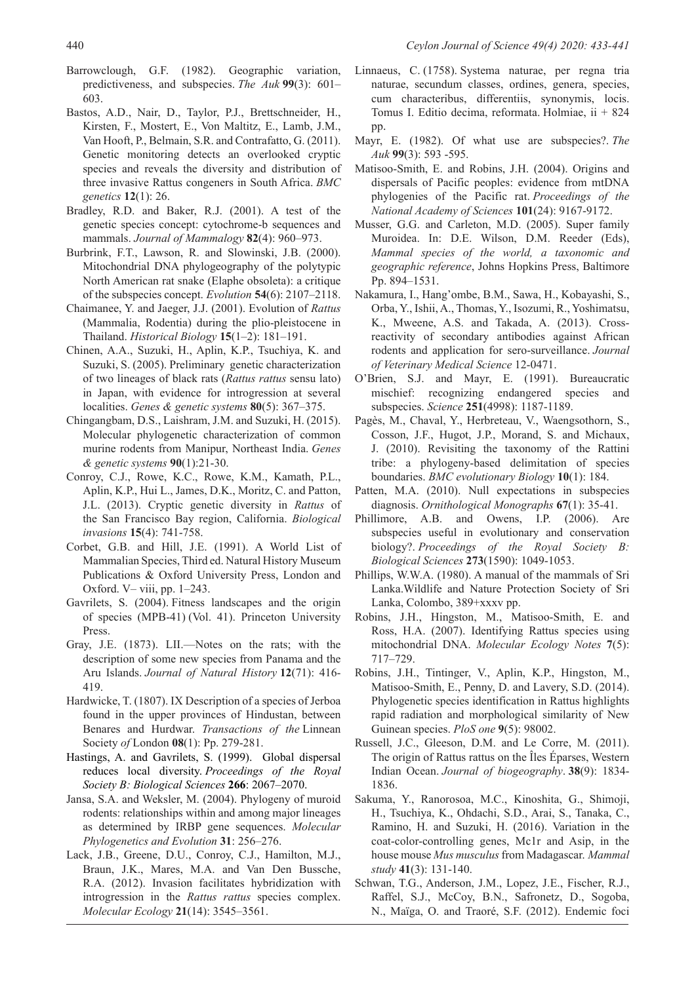Barrowclough, G.F. (1982). Geographic variation, predictiveness, and subspecies. *The Auk* **99**(3): 601– 603.

- Bastos, A.D., Nair, D., Taylor, P.J., Brettschneider, H., Kirsten, F., Mostert, E., Von Maltitz, E., Lamb, J.M., Van Hooft, P., Belmain, S.R. and Contrafatto, G. (2011). Genetic monitoring detects an overlooked cryptic species and reveals the diversity and distribution of three invasive Rattus congeners in South Africa. *BMC genetics* **12**(1): 26.
- Bradley, R.D. and Baker, R.J. (2001). A test of the genetic species concept: cytochrome-b sequences and mammals. *Journal of Mammalogy* **82**(4): 960–973.
- Burbrink, F.T., Lawson, R. and Slowinski, J.B. (2000). Mitochondrial DNA phylogeography of the polytypic North American rat snake (Elaphe obsoleta): a critique of the subspecies concept. *Evolution* **54**(6): 2107–2118.
- Chaimanee, Y. and Jaeger, J.J. (2001). Evolution of *Rattus* (Mammalia, Rodentia) during the plio-pleistocene in Thailand. *Historical Biology* **15**(1–2): 181–191.
- Chinen, A.A., Suzuki, H., Aplin, K.P., Tsuchiya, K. and Suzuki, S. (2005). Preliminary genetic characterization of two lineages of black rats (*Rattus rattus* sensu lato) in Japan, with evidence for introgression at several localities. *Genes & genetic systems* **80**(5): 367–375.
- Chingangbam, D.S., Laishram, J.M. and Suzuki, H. (2015). Molecular phylogenetic characterization of common murine rodents from Manipur, Northeast India. *Genes & genetic systems* **90**(1):21-30.
- Conroy, C.J., Rowe, K.C., Rowe, K.M., Kamath, P.L., Aplin, K.P., Hui L., James, D.K., Moritz, C. and Patton, J.L. (2013). Cryptic genetic diversity in *Rattus* of the San Francisco Bay region, California. *Biological invasions* **15**(4): 741-758.
- Corbet, G.B. and Hill, J.E. (1991). A World List of Mammalian Species, Third ed. Natural History Museum Publications & Oxford University Press, London and Oxford. V– viii, pp. 1–243.
- Gavrilets, S. (2004). Fitness landscapes and the origin of species (MPB-41) (Vol. 41). Princeton University Press.
- Gray, J.E. (1873). LII.—Notes on the rats; with the description of some new species from Panama and the Aru Islands. *Journal of Natural History* **12**(71): 416- 419.
- Hardwicke, T. (1807). IX Description of a species of Jerboa found in the upper provinces of Hindustan, between Benares and Hurdwar. *Transactions of the* Linnean Society *of* London **08**(1): Pp. 279-281.
- Hastings, A. and Gavrilets, S. (1999). Global dispersal reduces local diversity. *Proceedings of the Royal Society B: Biological Sciences* **266**: 2067–2070.
- Jansa, S.A. and Weksler, M. (2004). Phylogeny of muroid rodents: relationships within and among major lineages as determined by IRBP gene sequences. *Molecular Phylogenetics and Evolution* **31**: 256–276.
- Lack, J.B., Greene, D.U., Conroy, C.J., Hamilton, M.J., Braun, J.K., Mares, M.A. and Van Den Bussche, R.A. (2012). Invasion facilitates hybridization with introgression in the *Rattus rattus* species complex. *Molecular Ecology* **21**(14): 3545–3561.
- Linnaeus, C. (1758). Systema naturae, per regna tria naturae, secundum classes, ordines, genera, species, cum characteribus, differentiis, synonymis, locis. Tomus I. Editio decima, reformata. Holmiae, ii + 824 pp.
- Mayr, E. (1982). Of what use are subspecies?. *The Auk* **99**(3): 593 -595.
- Matisoo-Smith, E. and Robins, J.H. (2004). Origins and dispersals of Pacific peoples: evidence from mtDNA phylogenies of the Pacific rat. *Proceedings of the National Academy of Sciences* **101**(24): 9167-9172.
- Musser, G.G. and Carleton, M.D. (2005). Super family Muroidea. In: D.E. Wilson, D.M. Reeder (Eds), *Mammal species of the world, a taxonomic and geographic reference*, Johns Hopkins Press, Baltimore Pp. 894–1531.
- Nakamura, I., Hang'ombe, B.M., Sawa, H., Kobayashi, S., Orba, Y., Ishii, A., Thomas, Y., Isozumi, R., Yoshimatsu, K., Mweene, A.S. and Takada, A. (2013). Crossreactivity of secondary antibodies against African rodents and application for sero-surveillance. *Journal of Veterinary Medical Science* 12-0471.
- O'Brien, S.J. and Mayr, E. (1991). Bureaucratic mischief: recognizing endangered species and subspecies. *Science* **251**(4998): 1187-1189.
- Pagès, M., Chaval, Y., Herbreteau, V., Waengsothorn, S., Cosson, J.F., Hugot, J.P., Morand, S. and Michaux, J. (2010). Revisiting the taxonomy of the Rattini tribe: a phylogeny-based delimitation of species boundaries. *BMC evolutionary Biology* **10**(1): 184.
- Patten, M.A. (2010). Null expectations in subspecies diagnosis. *Ornithological Monographs* **67**(1): 35-41.
- Phillimore, A.B. and Owens, I.P. (2006). Are subspecies useful in evolutionary and conservation biology?. *Proceedings of the Royal Society B: Biological Sciences* **273**(1590): 1049-1053.
- Phillips, W.W.A. (1980). A manual of the mammals of Sri Lanka.Wildlife and Nature Protection Society of Sri Lanka, Colombo, 389+xxxv pp.
- Robins, J.H., Hingston, M., Matisoo-Smith, E. and Ross, H.A. (2007). Identifying Rattus species using mitochondrial DNA. *Molecular Ecology Notes* **7**(5): 717–729.
- Robins, J.H., Tintinger, V., Aplin, K.P., Hingston, M., Matisoo-Smith, E., Penny, D. and Lavery, S.D. (2014). Phylogenetic species identification in Rattus highlights rapid radiation and morphological similarity of New Guinean species. *PloS one* **9**(5): 98002.
- Russell, J.C., Gleeson, D.M. and Le Corre, M. (2011). The origin of Rattus rattus on the Îles Éparses, Western Indian Ocean. *Journal of biogeography*. **38**(9): 1834- 1836.
- Sakuma, Y., Ranorosoa, M.C., Kinoshita, G., Shimoji, H., Tsuchiya, K., Ohdachi, S.D., Arai, S., Tanaka, C., Ramino, H. and Suzuki, H. (2016). Variation in the coat-color-controlling genes, Mc1r and Asip, in the house mouse *Mus musculus* from Madagascar. *Mammal study* **41**(3): 131-140.
- Schwan, T.G., Anderson, J.M., Lopez, J.E., Fischer, R.J., Raffel, S.J., McCoy, B.N., Safronetz, D., Sogoba, N., Maïga, O. and Traoré, S.F. (2012). Endemic foci